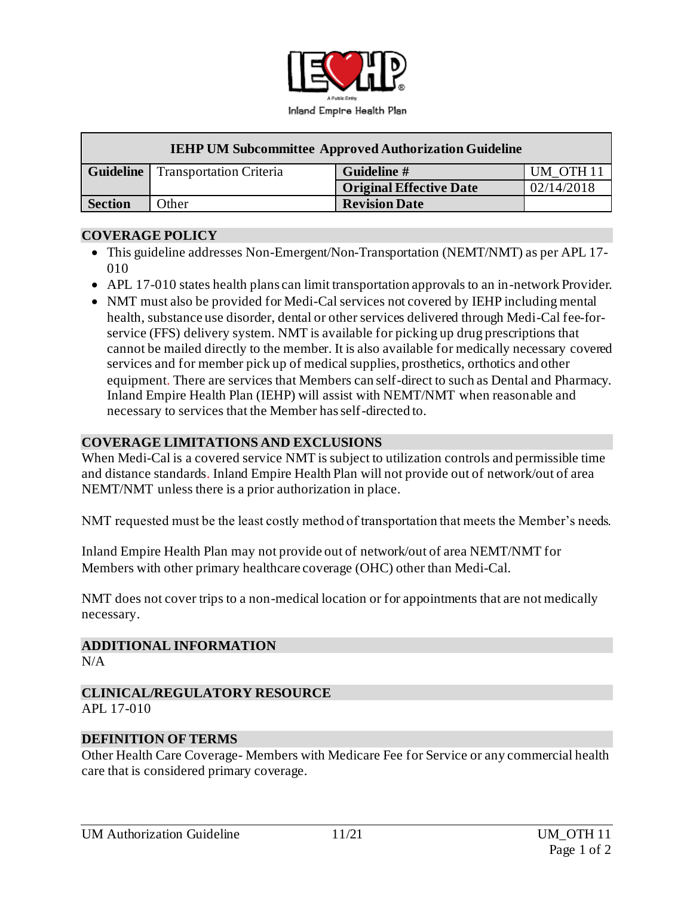

| <b>IEHP UM Subcommittee Approved Authorization Guideline</b> |                                            |                                |                      |
|--------------------------------------------------------------|--------------------------------------------|--------------------------------|----------------------|
|                                                              | <b>Guideline</b>   Transportation Criteria | Guideline #                    | UM OTH <sub>11</sub> |
|                                                              |                                            | <b>Original Effective Date</b> | 02/14/2018           |
| <b>Section</b>                                               | Other                                      | <b>Revision Date</b>           |                      |

### **COVERAGE POLICY**

- This guideline addresses Non-Emergent/Non-Transportation (NEMT/NMT) as per APL 17- 010
- APL 17-010 states health plans can limit transportation approvals to an in-network Provider.
- NMT must also be provided for Medi-Cal services not covered by IEHP including mental health, substance use disorder, dental or other services delivered through Medi-Cal fee-forservice (FFS) delivery system. NMT is available for picking up drug prescriptions that cannot be mailed directly to the member. It is also available for medically necessary covered services and for member pick up of medical supplies, prosthetics, orthotics and other equipment. There are services that Members can self-direct to such as Dental and Pharmacy. Inland Empire Health Plan (IEHP) will assist with NEMT/NMT when reasonable and necessary to services that the Member has self-directed to.

# **COVERAGE LIMITATIONS AND EXCLUSIONS**

When Medi-Cal is a covered service NMT is subject to utilization controls and permissible time and distance standards. Inland Empire Health Plan will not provide out of network/out of area NEMT/NMT unless there is a prior authorization in place.

NMT requested must be the least costly method of transportation that meets the Member's needs.

Inland Empire Health Plan may not provide out of network/out of area NEMT/NMT for Members with other primary healthcare coverage (OHC) other than Medi-Cal.

NMT does not cover trips to a non-medical location or for appointments that are not medically necessary.

**ADDITIONAL INFORMATION** N/A

#### **CLINICAL/REGULATORY RESOURCE** APL 17-010

#### **DEFINITION OF TERMS**

Other Health Care Coverage- Members with Medicare Fee for Service or any commercial health care that is considered primary coverage.